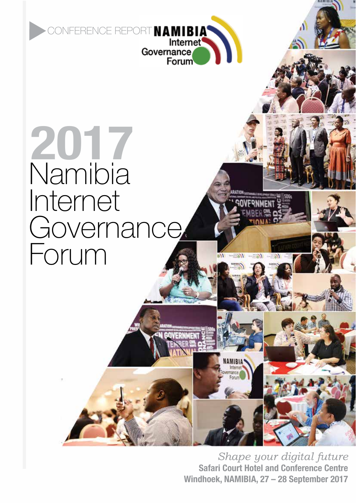

## **2017** Namibia Internet **Governance** Forum

*Shape your digital future* **Safari Court Hotel and Conference Centre Windhoek, NAMIBIA, 27 – 28 September 2017**

**IAMIBIA**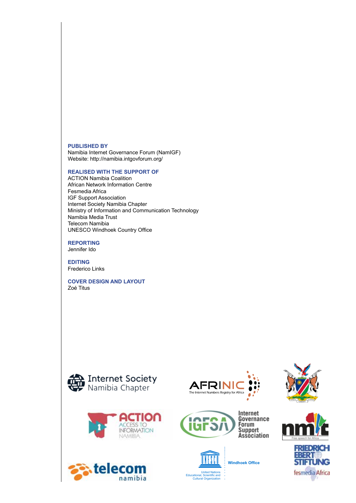#### **Published by**

Namibia Internet Governance Forum (NamIGF) Website: http://namibia.intgovforum.org/

#### **Realised with the support of**

ACTION Namibia Coalition African Network Information Centre Fesmedia Africa IGF Support Association Internet Society Namibia Chapter Ministry of Information and Communication Technology Namibia Media Trust Telecom Namibia UNESCO Windhoek Country Office

**Reporting** Jennifer Ido

**Editing** Frederico Links

**Cover design and layout** Zoé Titus



tele



namibia









**Windhoek Office**





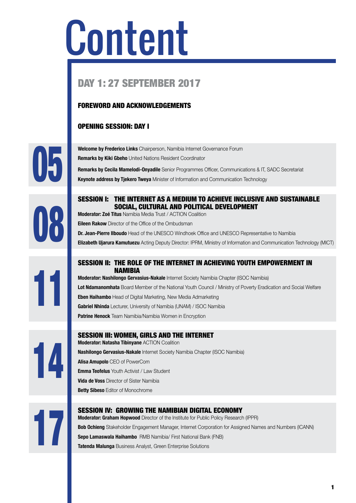## Content

### DAY 1: 27 SEPTEMBER 2017

#### FOREWORD AND ACKNOWLEDGEMENTS

#### OPENING SESSION: DAY I

**U5** 

**Remarks by Kiki Gbeho** United Nations Resident Coordinator **Remarks by Cecila Mamelodi-Onyadile** Senior Programmes Officer, Communications & IT, SADC Secretariat **Keynote address by Tjekero Tweya** Minister of Information and Communication Technology

#### SESSION I: THE INTERNET AS A MEDIUM TO ACHIEVE INCLUSIVE AND SUSTAINABLE SOCIAL, CULTURAL AND POLITICAL DEVELOPMENT

**Moderator: Zoé Titus** Namibia Media Trust / ACTION Coalition **Eileen Rakow** Director of the Office of the Ombudsman

**Welcome by Frederico Links** Chairperson, Namibia Internet Governance Forum

**Dr. Jean-Pierre Ilboudo** Head of the UNESCO Windhoek Office and UNESCO Representative to Namibia **Elizabeth Ujarura Kamutuezu** Acting Deputy Director: IPRM, Ministry of Information and Communication Technology (MICT)

#### SESSION II: THE ROLE OF THE INTERNET IN ACHIEVING YOUTH EMPOWERMENT IN **NAMIRIA**

**Moderator: Nashilongo Gervasius-Nakale** Internet Society Namibia Chapter (ISOC Namibia) **Lot Ndamanomhata** Board Member of the National Youth Council / Ministry of Poverty Eradication and Social Welfare **Eben Haihambo** Head of Digital Marketing, New Media Admarketing **Gabriel Nhinda** Lecturer, University of Namibia (UNAM) / ISOC Namibia **Patrine Henock** Team Namibia/Namibia Women in Encryption



11

**Uö** 

#### SESSION III: WOMEN, GIRLS AND THE INTERNET **Moderator: Natasha Tibinyane** ACTION Coalition **Nashilongo Gervasius-Nakale** Internet Society Namibia Chapter (ISOC Namibia) **Alisa Amupolo** CEO of PowerCom **Emma Teofelus** Youth Activist / Law Student **Vida de Voss** Director of Sister Namibia

**Betty Sibeso** Editor of Monochrome



#### SESSION IV: GROWING THE NAMIBIAN DIGITAL ECONOMY

**Moderator: Graham Hopwood** Director of the Institute for Public Policy Research (IPPR) **Bob Ochieng** Stakeholder Engagement Manager, Internet Corporation for Assigned Names and Numbers (ICANN)<br> **Sepo Lamaswala Haihambo** RMB Namibia/ First National Bank (FNB)<br> **Tatenda Malunga** Business Analyst, Green Enterpr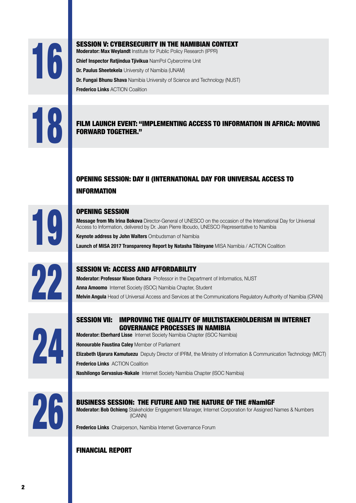16

#### SESSION V: CYBERSECURITY IN THE NAMIBIAN CONTEXT

**Moderator: Max Weylandt** Institute for Public Policy Research (IPPR)

**Chief Inspector Ratjindua Tjivikua** NamPol Cybercrime Unit

**Dr. Paulus Sheetekela** University of Namibia (UNAM)

**Dr. Fungai Bhunu Shava** Namibia University of Science and Technology (NUST)

**Frederico Links ACTION Coalition** 

#### 18 FILM LAUNCH EVENT: "IMPLEMENTING ACCESS TO INFORMATION IN AFRICA: MOVING FORWARD TOGETHER."

#### OPENING SESSION: DAY II (INTERNATIONAL DAY FOR UNIVERSAL ACCESS TO **INFORMATION**

# 19

#### OPENING SESSION

**Message from Ms Irina Bokova** Director-General of UNESCO on the occasion of the International Day for Universal Access to Information, delivered by Dr. Jean Pierre Ilboudo, UNESCO Representative to Namibia

**Keynote address by John Walters** Ombudsman of Namibia

**Launch of MISA 2017 Transparency Report by Natasha Tibinyane** MISA Namibia / ACTION Coalition



#### SESSION VI: ACCESS AND AFFORDABILITY

**Moderator: Professor Nixon Ochara** Professor in the Department of Informatics, NUST **Anna Amoomo** Internet Society (ISOC) Namibia Chapter, Student **Melvin Angula** Head of Universal Access and Services at the Communications Regulatory Authority of Namibia (CRAN)

## 24

#### SESSION VII: IMPROVING THE QUALITY OF MULTISTAKEHOLDERISM IN INTERNET GOVERNANCE PROCESSES IN NAMIBIA

**Moderator: Eberhard Lisse** Internet Society Namibia Chapter (ISOC Namibia)

**Honourable Faustina Caley** Member of Parliament

**Elizabeth Ujarura Kamutuezu** Deputy Director of IPRM, the Ministry of Information & Communication Technology (MICT) **Frederico Links ACTION Coalition** 

**Nashilongo Gervasius-Nakale** Internet Society Namibia Chapter (ISOC Namibia)



#### BUSINESS SESSION: THE FUTURE AND THE NATURE OF THE #NamIGF

**Moderator: Bob Ochieng** Stakeholder Engagement Manager, Internet Corporation for Assigned Names & Numbers (ICANN)

**Frederico Links** Chairperson, Namibia Internet Governance Forum

#### FINANCIAL REPORT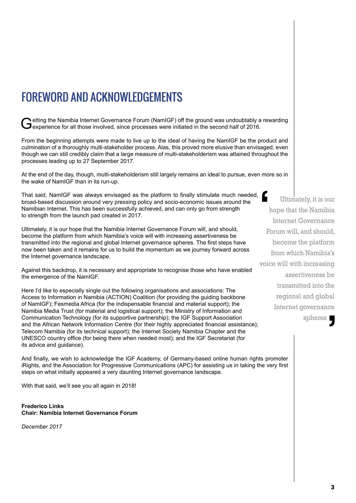## FOREWORD AND ACKNOWLEDGEMENTS

Getting the Namibia Internet Governance Forum (NamIGF) off the ground was undoubtably a rewarding experience for all those involved, since processes were initiated in the second half of 2016.

From the beginning attempts were made to live up to the ideal of having the NamIGF be the product and culmination of a thoroughly multi-stakeholder process. Alas, this proved more elusive than envisaged, even though we can still credibly claim that a large measure of multi-stakeholderism was attained throughout the processes leading up to 27 September 2017.

At the end of the day, though, multi-stakeholderism still largely remains an ideal to pursue, even more so in the wake of NamIGF than in its run-up.

That said, NamIGF was always envisaged as the platform to finally stimulate much needed, broad-based discussion around very pressing policy and socio-economic issues around the Namibian Internet. This has been successfully achieved, and can only go from strength to strength from the launch pad created in 2017.

Ultimately, it is our hope that the Namibia Internet Governance Forum will, and should, become the platform from which Namibia's voice will with increasing assertiveness be transmitted into the regional and global Internet governance spheres. The first steps have now been taken and it remains for us to build the momentum as we journey forward across the Internet governance landscape.

Against this backdrop, it is necessary and appropriate to recognise those who have enabled the emergence of the NamIGF.

Here I'd like to especially single out the following organisations and associations: The Access to Information in Namibia (ACTION) Coalition (for providing the guiding backbone of NamIGF); Fesmedia Africa (for the indispensable financial and material support); the Namibia Media Trust (for material and logistical support); the Ministry of Information and Communication Technology (for its supportive partnership); the IGF Support Association and the African Network Information Centre (for their highly appreciated financial assistance); Telecom Namibia (for its technical support); the Internet Society Namibia Chapter and the UNESCO country office (for being there when needed most); and the IGF Secretariat (for its advice and guidance).

And finally, we wish to acknowledge the IGF Academy, of Germany-based online human rights promoter iRights, and the Association for Progressive Communications (APC) for assisting us in taking the very first steps on what initially appeared a very daunting Internet governance landscape.

With that said, we'll see you all again in 2018!

**Frederico Links Chair: Namibia Internet Governance Forum**

*December 2017*

 Ultimately, it is our hope that the Namibia Internet Governance Forum will, and should, become the platform from which Namibia's voice will with increasing assertiveness be transmitted into the regional and global Internet governance spheres **1**  $\frac{6}{1}$ **J**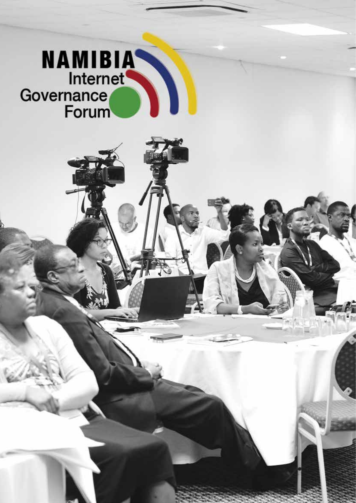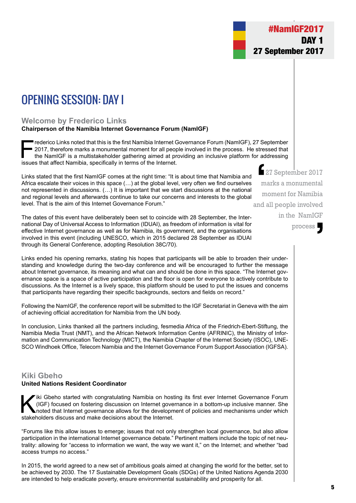## OPENING SESSION: DAY I

#### **Welcome by Frederico Links**

#### **Chairperson of the Namibia Internet Governance Forum (NamIGF)**

Frederico Links noted that this is the first Namibia Internet Governance Forum (NamIGF), 27 September<br>2017, therefore marks a monumental moment for all people involved in the process. He stressed that<br>the NamIGF is a multi 2017, therefore marks a monumental moment for all people involved in the process. He stressed that the NamIGF is a multistakeholder gathering aimed at providing an inclusive platform for addressing issues that affect Namibia, specifically in terms of the Internet.

Links stated that the first NamIGF comes at the right time: "It is about time that Namibia and Africa escalate their voices in this space (…) at the global level, very often we find ourselves not represented in discussions. (…) It is important that we start discussions at the national and regional levels and afterwards continue to take our concerns and interests to the global level. That is the aim of this Internet Governance Forum."

The dates of this event have deliberately been set to coincide with 28 September, the International Day of Universal Access to Information (IDUAI), as freedom of information is vital for effective Internet governance as well as for Namibia, its government, and the organisations involved in this event (including UNESCO, which in 2015 declared 28 September as IDUAI through its General Conference, adopting Resolution 38C/70).

Links ended his opening remarks, stating his hopes that participants will be able to broaden their understanding and knowledge during the two-day conference and will be encouraged to further the message about Internet governance, its meaning and what can and should be done in this space. "The Internet governance space is a space of active participation and the floor is open for everyone to actively contribute to discussions. As the Internet is a lively space, this platform should be used to put the issues and concerns that participants have regarding their specific backgrounds, sectors and fields on record."

Following the NamIGF, the conference report will be submitted to the IGF Secretariat in Geneva with the aim of achieving official accreditation for Namibia from the UN body.

In conclusion, Links thanked all the partners including, fesmedia Africa of the Friedrich-Ebert-Stiftung, the Namibia Media Trust (NMT), and the African Network Information Centre (AFRINIC), the Ministry of Information and Communication Technology (MICT), the Namibia Chapter of the Internet Society (ISOC), UNE-SCO Windhoek Office, Telecom Namibia and the Internet Governance Forum Support Association (IGFSA).

#### **Kiki Gbeho United Nations Resident Coordinator**

Iki Gbeho started with congratulating Namibia on hosting its first ever Internet Governance Forum<br>
(IGF) focused on fostering discussion on Internet governance in a bottom-up inclusive manner. She<br>
noted that Internet gove (IGF) focused on fostering discussion on Internet governance in a bottom-up inclusive manner. She stakeholders discuss and make decisions about the Internet.

"Forums like this allow issues to emerge; issues that not only strengthen local governance, but also allow participation in the international Internet governance debate." Pertinent matters include the topic of net neutrality: allowing for "access to information we want, the way we want it," on the Internet; and whether "bad access trumps no access."

In 2015, the world agreed to a new set of ambitious goals aimed at changing the world for the better, set to be achieved by 2030. The 17 Sustainable Development Goals (SDGs) of the United Nations Agenda 2030 are intended to help eradicate poverty, ensure environmental sustainability and prosperity for all.

27 September 2017 marks a monumental moment for Namibia and all people involved in the NamIGF  $\begin{array}{c} 2 \\ m \\ m \\ m \end{array}$ 

process . **J**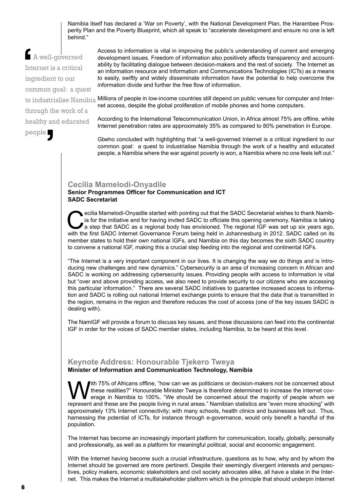Namibia itself has declared a 'War on Poverty', with the National Development Plan, the Harambee Prosperity Plan and the Poverty Blueprint, which all speak to "accelerate development and ensure no one is left behind."

 A well-governed Internet is a critical ingredient to our common goal: a quest to industrialise Namibia through the work of a healthy and educated people ' Inte<br>
Inte<br>
ing

Access to information is vital in improving the public's understanding of current and emerging development issues. Freedom of information also positively affects transparency and accountability by facilitating dialogue between decision-makers and the rest of society. The Internet as an information resource and Information and Communications Technologies (ICTs) as a means to easily, swiftly and widely disseminate information have the potential to help overcome the information divide and further the free flow of information.

Millions of people in low-income countries still depend on public venues for computer and Internet access, despite the global proliferation of mobile phones and home computers.

According to the International Telecommunication Union, in Africa almost 75% are offline, while Internet penetration rates are approximately 35% as compared to 80% penetration in Europe.

Gbeho concluded with highlighting that "a well-governed Internet is a critical ingredient to our common goal: a quest to industrialise Namibia through the work of a healthy and educated people, a Namibia where the war against poverty is won, a Namibia where no one feels left out."

#### **Cecilia Mamelodi-Onyadile**

#### **Senior Programmes Officer for Communication and ICT SADC Secretariat**

ecilia Mamelodi-Onyadile started with pointing out that the SADC Secretariat wishes to thank Namibia is taking in a step that SADC as a regional body has envisioned. The regional IGF was set up six years ago, with the firs ia for the initiative and for having invited SADC to officiate this opening ceremony. Namibia is taking with the first SADC Internet Governance Forum being held in Johannesburg in 2012. SADC called on its member states to hold their own national IGFs, and Namibia on this day becomes the sixth SADC country to convene a national IGF, making this a crucial step feeding into the regional and continental IGFs.

"The Internet is a very important component in our lives. It is changing the way we do things and is introducing new challenges and new dynamics." Cybersecurity is an area of increasing concern in African and SADC is working on addressing cybersecurity issues. Providing people with access to information is vital but "over and above providing access, we also need to provide security to our citizens who are accessing this particular information." There are several SADC initiatives to guarantee increased access to information and SADC is rolling out national Internet exchange points to ensure that the data that is transmitted in the region, remains in the region and therefore reduces the cost of access (one of the key issues SADC is dealing with).

The NamIGF will provide a forum to discuss key issues, and those discussions can feed into the continental IGF in order for the voices of SADC member states, including Namibia, to be heard at this level.

#### **Keynote Address: Honourable Tjekero Tweya Minister of Information and Communication Technology, Namibia**

With 75% of Africans offline, "how can we as politicians or decision-makers not be concerned about these realities?" Honourable Minister Tweya is therefore determined to increase the internet coverage in Namibia to 100%. " these realities?" Honourable Minister Tweya is therefore determined to increase the internet covrepresent and these are the people living in rural areas." Namibian statistics are "even more shocking" with approximately 13% Internet connectivity; with many schools, health clinics and businesses left out. Thus, harnessing the potential of ICTs, for instance through e-governance, would only benefit a handful of the population.

The Internet has become an increasingly important platform for communication, locally, globally, personally and professionally, as well as a platform for meaningful political, social and economic engagement.

With the Internet having become such a crucial infrastructure, questions as to how, why and by whom the Internet should be governed are more pertinent. Despite their seemingly divergent interests and perspectives, policy makers, economic stakeholders and civil society advocates alike, all have a stake in the Internet. This makes the Internet a multistakeholder platform which is the principle that should underpin Internet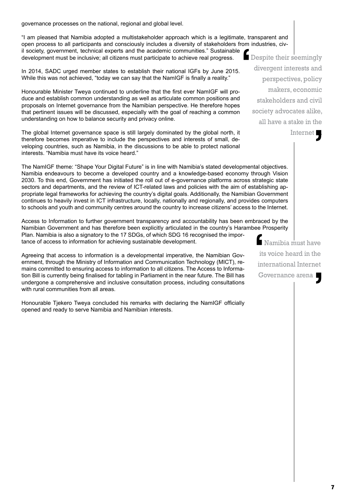governance processes on the national, regional and global level.

"I am pleased that Namibia adopted a multistakeholder approach which is a legitimate, transparent and open process to all participants and consciously includes a diversity of stakeholders from industries, civil society, government, technical experts and the academic communities." Sustainable development must be inclusive; all citizens must participate to achieve real progress.  $\mathbf{G}$ 

In 2014, SADC urged member states to establish their national IGFs by June 2015. While this was not achieved, "today we can say that the NamIGF is finally a reality."

Honourable Minister Tweya continued to underline that the first ever NamIGF will produce and establish common understanding as well as articulate common positions and proposals on Internet governance from the Namibian perspective. He therefore hopes that pertinent issues will be discussed, especially with the goal of reaching a common understanding on how to balance security and privacy online.

The global Internet governance space is still largely dominated by the global north, it therefore becomes imperative to include the perspectives and interests of small, developing countries, such as Namibia, in the discussions to be able to protect national interests. "Namibia must have its voice heard."

The NamIGF theme: "Shape Your Digital Future" is in line with Namibia's stated developmental objectives. Namibia endeavours to become a developed country and a knowledge-based economy through Vision 2030. To this end, Government has initiated the roll out of e-governance platforms across strategic state sectors and departments, and the review of ICT-related laws and policies with the aim of establishing appropriate legal frameworks for achieving the country's digital goals. Additionally, the Namibian Government continues to heavily invest in ICT infrastructure, locally, nationally and regionally, and provides computers to schools and youth and community centres around the country to increase citizens' access to the Internet.

Access to Information to further government transparency and accountability has been embraced by the Namibian Government and has therefore been explicitly articulated in the country's Harambee Prosperity Plan. Namibia is also a signatory to the 17 SDGs, of which SDG 16 recognised the importance of access to information for achieving sustainable development.

Agreeing that access to information is a developmental imperative, the Namibian Government, through the Ministry of Information and Communication Technology (MICT), remains committed to ensuring access to information to all citizens. The Access to Information Bill is currently being finalised for tabling in Parliament in the near future. The Bill has undergone a comprehensive and inclusive consultation process, including consultations with rural communities from all areas.

Honourable Tjekero Tweya concluded his remarks with declaring the NamIGF officially opened and ready to serve Namibia and Namibian interests.

Despite their seemingly divergent interests and perspectives, policy makers, economic stakeholders and civil society advocates alike, all have a stake in the

> Internet | '

Namibia must have its voice heard in the international Internet Governance arena . I<br>
its<br>
int '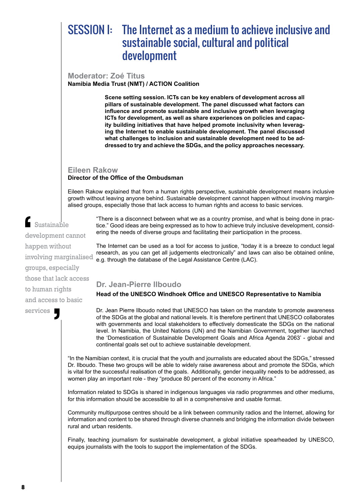## SESSION I: The Internet as a medium to achieve inclusive and sustainable social, cultural and political development

**Moderator: Zoé Titus Namibia Media Trust (NMT) / ACTION Coalition**

> **Scene setting session. ICTs can be key enablers of development across all pillars of sustainable development. The panel discussed what factors can influence and promote sustainable and inclusive growth when leveraging ICTs for development, as well as share experiences on policies and capacity building initiatives that have helped promote inclusivity when leveraging the Internet to enable sustainable development. The panel discussed what challenges to inclusion and sustainable development need to be addressed to try and achieve the SDGs, and the policy approaches necessary.**

#### **Eileen Rakow Director of the Office of the Ombudsman**

Eileen Rakow explained that from a human rights perspective, sustainable development means inclusive growth without leaving anyone behind. Sustainable development cannot happen without involving marginalised groups, especially those that lack access to human rights and access to basic services.

> "There is a disconnect between what we as a country promise, and what is being done in practice." Good ideas are being expressed as to how to achieve truly inclusive development, considering the needs of diverse groups and facilitating their participation in the process.

The Internet can be used as a tool for access to justice, "today it is a breeze to conduct legal research, as you can get all judgements electronically" and laws can also be obtained online, e.g. through the database of the Legal Assistance Centre (LAC).

#### **Dr. Jean-Pierre Ilboudo**

**Head of the UNESCO Windhoek Office and UNESCO Representative to Namibia**

Dr. Jean Pierre Ilboudo noted that UNESCO has taken on the mandate to promote awareness of the SDGs at the global and national levels. It is therefore pertinent that UNESCO collaborates with governments and local stakeholders to effectively domesticate the SDGs on the national level. In Namibia, the United Nations (UN) and the Namibian Government, together launched the 'Domestication of Sustainable Development Goals and Africa Agenda 2063' - global and continental goals set out to achieve sustainable development.

"In the Namibian context, it is crucial that the youth and journalists are educated about the SDGs," stressed Dr. Ilboudo. These two groups will be able to widely raise awareness about and promote the SDGs, which is vital for the successful realisation of the goals. Additionally, gender inequality needs to be addressed, as women play an important role - they "produce 80 percent of the economy in Africa."

Information related to SDGs is shared in indigenous languages via radio programmes and other mediums, for this information should be accessible to all in a comprehensive and usable format.

Community multipurpose centres should be a link between community radios and the Internet, allowing for information and content to be shared through diverse channels and bridging the information divide between rural and urban residents.

Finally, teaching journalism for sustainable development, a global initiative spearheaded by UNESCO, equips journalists with the tools to support the implementation of the SDGs.

 Sustainable development cannot happen without involving marginalised groups, especially those that lack access to human rights and access to basic services dev<br>
hap<br>
. |<br>|<br>|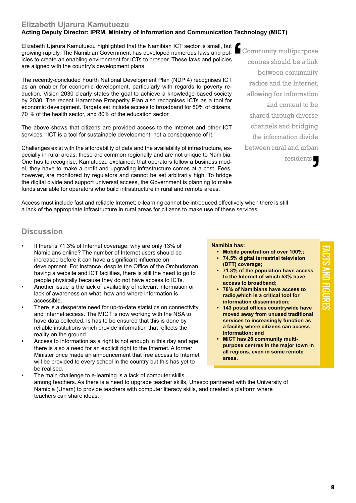#### **Elizabeth Ujarura Kamutuezu**

#### **Acting Deputy Director: IPRM, Ministry of Information and Communication Technology (MICT)**

Access must include fast and reliable Internet; e-learning cannot be introduced effectively when there is still

a lack of the appropriate infrastructure in rural areas for citizens to make use of these services.

Elizabeth Ujarura Kamutuezu highlighted that the Namibian ICT sector is small, but growing rapidly. The Namibian Government has developed numerous laws and policies to create an enabling environment for ICTs to prosper. These laws and policies are aligned with the country's development plans. **1** 

The recently-concluded Fourth National Development Plan (NDP 4) recognises ICT as an enabler for economic development, particularly with regards to poverty reduction. Vision 2030 clearly states the goal to achieve a knowledge-based society by 2030. The recent Harambee Prosperity Plan also recognises ICTs as a tool for economic development. Targets set include access to broadband for 80% of citizens, 70 % of the health sector, and 80% of the education sector.

The above shows that citizens are provided access to the Internet and other ICT services. "ICT is a tool for sustainable development, not a consequence of it."

Challenges exist with the affordability of data and the availability of infrastructure, especially in rural areas; these are common regionally and are not unique to Namibia. One has to recognise, Kamutuezu explained, that operators follow a business model, they have to make a profit and upgrading infrastructure comes at a cost. Fees, however, are monitored by regulators and cannot be set arbitrarily high. To bridge the digital divide and support universal access, the Government is planning to make funds available for operators who build infrastructure in rural and remote areas.

Community multipurpose centres should be a link between community radios and the Internet, allowing for information and content to be shared through diverse channels and bridging the information divide between rural and urban

residents . S

**FACTS** 

and

 $\Xi$ 

ures

#### **Discussion**

- If there is 71.3% of Internet coverage, why are only 13% of Namibians online? The number of Internet users should be increased before it can have a significant influence on development. For instance, despite the Office of the Ombudsman having a website and ICT facilities, there is still the need to go to people physically because they do not have access to ICTs.
- Another issue is the lack of availability of relevant information or lack of awareness on what, how and where information is accessible.
- There is a desperate need for up-to-date statistics on connectivity and Internet access. The MICT is now working with the NSA to have data collected. Is has to be ensured that this is done by reliable institutions which provide information that reflects the reality on the ground.
- Access to information as a right is not enough in this day and age; there is also a need for an explicit right to the Internet. A former Minister once made an announcement that free access to Internet will be provided to every school in the country but this has yet to be realised.
- The main challenge to e-learning is a lack of computer skills among teachers. As there is a need to upgrade teacher skills, Unesco partnered with the University of Namibia (Unam) to provide teachers with computer literacy skills, and created a platform where teachers can share ideas.

#### **Namibia has:**

- **• Mobile penetration of over 100%;**
- **• 74.5% digital terrestrial television (DTT) coverage;**
- **• 71.3% of the population have access to the Internet of which 53% have access to broadband;**
- **• 78% of Namibians have access to radio,which is a critical tool for information dissemination;**
- **• 143 postal offices countrywide have moved away from unused traditional services to increasingly function as a facility where citizens can access information; and**
- **• MICT has 26 community multi purpose centres in the major town in all regions, even in some remote areas.**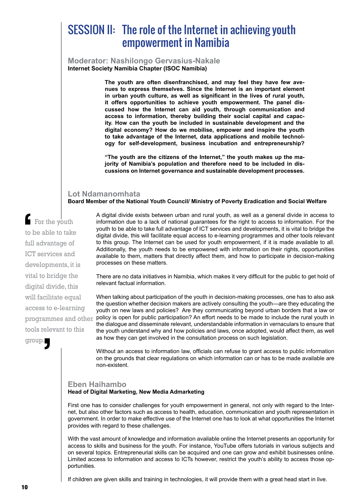## SESSION II: The role of the Internet in achieving youth empowerment in Namibia

**Moderator: Nashilongo Gervasius-Nakale Internet Society Namibia Chapter (ISOC Namibia)**

> **The youth are often disenfranchised, and may feel they have few avenues to express themselves. Since the Internet is an important element in urban youth culture, as well as significant in the lives of rural youth, it offers opportunities to achieve youth empowerment. The panel discussed how the Internet can aid youth, through communication and access to information, thereby building their social capital and capacity. How can the youth be included in sustainable development and the digital economy? How do we mobilise, empower and inspire the youth to take advantage of the Internet, data applications and mobile technology for self-development, business incubation and entrepreneurship?**

> **"The youth are the citizens of the Internet," the youth makes up the majority of Namibia's population and therefore need to be included in discussions on Internet governance and sustainable development processes.**

#### **Lot Ndamanomhata**

**Board Member of the National Youth Council/ Ministry of Poverty Eradication and Social Welfare**

 For the youth to be able to take full advantage of ICT services and developments, it is vital to bridge the digital divide, this will facilitate equal access to e-learning tools relevant to this group. '  $\begin{bmatrix} 1 \\ 0 \\ 0 \\ 0 \\ 0 \\ 0 \\ 0 \end{bmatrix}$ 

A digital divide exists between urban and rural youth, as well as a general divide in access to information due to a lack of national guarantees for the right to access to information. For the youth to be able to take full advantage of ICT services and developments, it is vital to bridge the digital divide, this will facilitate equal access to e-learning programmes and other tools relevant to this group. The Internet can be used for youth empowerment, if it is made available to all. Additionally, the youth needs to be empowered with information on their rights, opportunities available to them, matters that directly affect them, and how to participate in decision-making processes on these matters.

There are no data initiatives in Namibia, which makes it very difficult for the public to get hold of relevant factual information.

When talking about participation of the youth in decision-making processes, one has to also ask the question whether decision makers are actively consulting the youth—are they educating the youth on new laws and policies? Are they communicating beyond urban borders that a law or programmes and other policy is open for public participation? An effort needs to be made to include the rural youth in the dialogue and disseminate relevant, understandable information in vernaculars to ensure that the youth understand why and how policies and laws, once adopted, would affect them, as well as how they can get involved in the consultation process on such legislation.

> Without an access to information law, officials can refuse to grant access to public information on the grounds that clear regulations on which information can or has to be made available are non-existent.

#### **Eben Haihambo**

#### **Head of Digital Marketing, New Media Admarketing**

First one has to consider challenges for youth empowerment in general, not only with regard to the Internet, but also other factors such as access to health, education, communication and youth representation in government. In order to make effective use of the Internet one has to look at what opportunities the Internet provides with regard to these challenges.

With the vast amount of knowledge and information available online the Internet presents an opportunity for access to skills and business for the youth. For instance, YouTube offers tutorials in various subjects and on several topics. Entrepreneurial skills can be acquired and one can grow and exhibit businesses online. Limited access to information and access to ICTs however, restrict the youth's ability to access those opportunities.

If children are given skills and training in technologies, it will provide them with a great head start in live.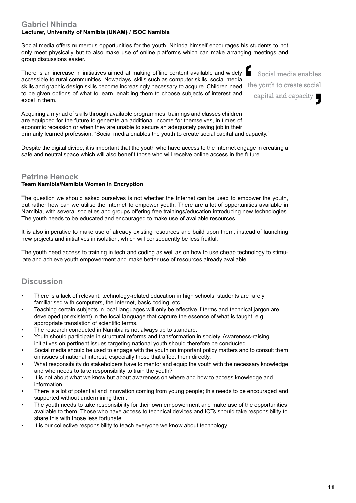#### **Gabriel Nhinda Lecturer, University of Namibia (UNAM) / ISOC Namibia**

Social media offers numerous opportunities for the youth. Nhinda himself encourages his students to not only meet physically but to also make use of online platforms which can make arranging meetings and group discussions easier.

There is an increase in initiatives aimed at making offline content available and widely accessible to rural communities. Nowadays, skills such as computer skills, social media skills and graphic design skills become increasingly necessary to acquire. Children need to be given options of what to learn, enabling them to choose subjects of interest and excel in them. the contract of the contract of the contract of the contract of the contract of the contract of the contract of the contract of the contract of the contract of the contract of the contract of the contract of the contract o

Acquiring a myriad of skills through available programmes, trainings and classes children are equipped for the future to generate an additional income for themselves, in times of economic recession or when they are unable to secure an adequately paying job in their primarily learned profession. "Social media enables the youth to create social capital and capacity."

Despite the digital divide, it is important that the youth who have access to the Internet engage in creating a safe and neutral space which will also benefit those who will receive online access in the future.

#### **Petrine Henock**

#### **Team Namibia/Namibia Women in Encryption**

The question we should asked ourselves is not whether the Internet can be used to empower the youth, but rather how can we utilise the Internet to empower youth. There are a lot of opportunities available in Namibia, with several societies and groups offering free trainings/education introducing new technologies. The youth needs to be educated and encouraged to make use of available resources.

It is also imperative to make use of already existing resources and build upon them, instead of launching new projects and initiatives in isolation, which will consequently be less fruitful.

The youth need access to training in tech and coding as well as on how to use cheap technology to stimulate and achieve youth empowerment and make better use of resources already available.

#### **Discussion**

- There is a lack of relevant, technology-related education in high schools, students are rarely familiarised with computers, the Internet, basic coding, etc.
- Teaching certain subjects in local languages will only be effective if terms and technical jargon are developed (or existent) in the local language that capture the essence of what is taught, e.g. appropriate translation of scientific terms.
- The research conducted in Namibia is not always up to standard.
- Youth should participate in structural reforms and transformation in society. Awareness-raising initiatives on pertinent issues targeting national youth should therefore be conducted.
- Social media should be used to engage with the youth on important policy matters and to consult them on issues of national interest, especially those that affect them directly.
- What responsibility do stakeholders have to mentor and equip the youth with the necessary knowledge and who needs to take responsibility to train the youth?
- It is not about what we know but about awareness on where and how to access knowledge and information.
- There is a lot of potential and innovation coming from young people; this needs to be encouraged and supported without undermining them.
- The youth needs to take responsibility for their own empowerment and make use of the opportunities available to them. Those who have access to technical devices and ICTs should take responsibility to share this with those less fortunate.
- It is our collective responsibility to teach everyone we know about technology.

11

Social media enables

the youth to create social

capital and capacity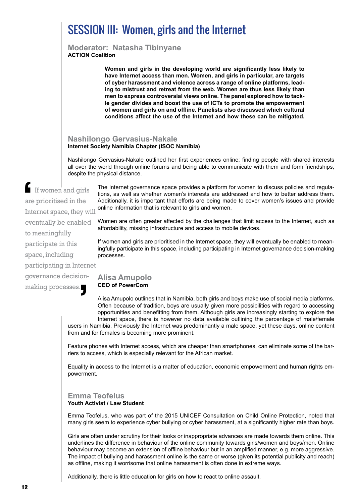## SESSION III: Women, girls and the Internet

**Moderator: Natasha Tibinyane ACTION Coalition**

> **Women and girls in the developing world are significantly less likely to have Internet access than men. Women, and girls in particular, are targets of cyber harassment and violence across a range of online platforms, leading to mistrust and retreat from the web. Women are thus less likely than men to express controversial views online. The panel explored how to tackle gender divides and boost the use of ICTs to promote the empowerment of women and girls on and offline. Panelists also discussed which cultural conditions affect the use of the Internet and how these can be mitigated.**

#### **Nashilongo Gervasius-Nakale Internet Society Namibia Chapter (ISOC Namibia)**

Nashilongo Gervasius-Nakale outlined her first experiences online; finding people with shared interests all over the world through online forums and being able to communicate with them and form friendships, despite the physical distance.

 If women and girls are prioritised in the Internet space, they will eventually be enabled to meaningfully participate in this space, including participating in Internet governance decisionmaking processes. ' are<br>
Inte

The Internet governance space provides a platform for women to discuss policies and regulations, as well as whether women's interests are addressed and how to better address them. Additionally, it is important that efforts are being made to cover women's issues and provide online information that is relevant to girls and women.

Women are often greater affected by the challenges that limit access to the Internet, such as affordability, missing infrastructure and access to mobile devices.

If women and girls are prioritised in the Internet space, they will eventually be enabled to meaningfully participate in this space, including participating in Internet governance decision-making processes.

#### **Alisa Amupolo CEO of PowerCom**

Alisa Amupolo outlines that in Namibia, both girls and boys make use of social media platforms. Often because of tradition, boys are usually given more possibilities with regard to accessing opportunities and benefitting from them. Although girls are increasingly starting to explore the Internet space, there is however no data available outlining the percentage of male/female users in Namibia. Previously the Internet was predominantly a male space, yet these days, online content from and for females is becoming more prominent.

Feature phones with Internet access, which are cheaper than smartphones, can eliminate some of the barriers to access, which is especially relevant for the African market.

Equality in access to the Internet is a matter of education, economic empowerment and human rights empowerment.

#### **Emma Teofelus**

#### **Youth Activist / Law Student**

Emma Teofelus, who was part of the 2015 UNICEF Consultation on Child Online Protection, noted that many girls seem to experience cyber bullying or cyber harassment, at a significantly higher rate than boys.

Girls are often under scrutiny for their looks or inappropriate advances are made towards them online. This underlines the difference in behaviour of the online community towards girls/women and boys/men. Online behaviour may become an extension of offline behaviour but in an amplified manner, e.g. more aggressive. The impact of bullying and harassment online is the same or worse (given its potential publicity and reach) as offline, making it worrisome that online harassment is often done in extreme ways.

Additionally, there is little education for girls on how to react to online assault.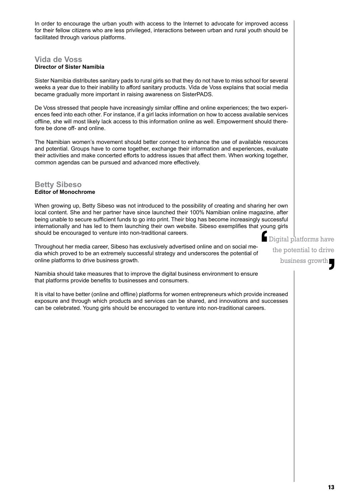In order to encourage the urban youth with access to the Internet to advocate for improved access for their fellow citizens who are less privileged, interactions between urban and rural youth should be facilitated through various platforms.

#### **Vida de Voss Director of Sister Namibia**

Sister Namibia distributes sanitary pads to rural girls so that they do not have to miss school for several weeks a year due to their inability to afford sanitary products. Vida de Voss explains that social media became gradually more important in raising awareness on SisterPADS.

De Voss stressed that people have increasingly similar offline and online experiences; the two experiences feed into each other. For instance, if a girl lacks information on how to access available services offline, she will most likely lack access to this information online as well. Empowerment should therefore be done off- and online.

The Namibian women's movement should better connect to enhance the use of available resources and potential. Groups have to come together, exchange their information and experiences, evaluate their activities and make concerted efforts to address issues that affect them. When working together, common agendas can be pursued and advanced more effectively.

#### **Betty Sibeso Editor of Monochrome**

When growing up, Betty Sibeso was not introduced to the possibility of creating and sharing her own local content. She and her partner have since launched their 100% Namibian online magazine, after being unable to secure sufficient funds to go into print. Their blog has become increasingly successful internationally and has led to them launching their own website. Sibeso exemplifies that young girls should be encouraged to venture into non-traditional careers.  $\sum_{i=1}^{\infty}$ 

Throughout her media career, Sibeso has exclusively advertised online and on social media which proved to be an extremely successful strategy and underscores the potential of online platforms to drive business growth.

Namibia should take measures that to improve the digital business environment to ensure that platforms provide benefits to businesses and consumers.

It is vital to have better (online and offline) platforms for women entrepreneurs which provide increased exposure and through which products and services can be shared, and innovations and successes can be celebrated. Young girls should be encouraged to venture into non-traditional careers.

Digital platforms have the potential to drive business growth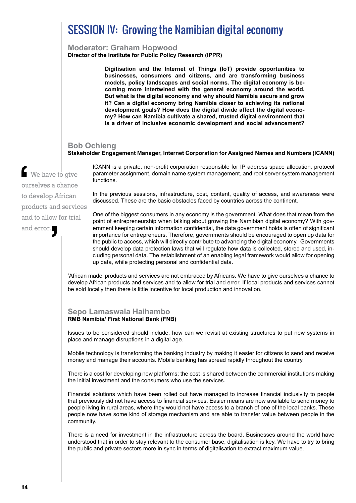## SESSION IV: Growing the Namibian digital economy

#### **Moderator: Graham Hopwood**

**Director of the Institute for Public Policy Research (IPPR)**

**Digitisation and the Internet of Things (IoT) provide opportunities to businesses, consumers and citizens, and are transforming business models, policy landscapes and social norms. The digital economy is becoming more intertwined with the general economy around the world. But what is the digital economy and why should Namibia secure and grow it? Can a digital economy bring Namibia closer to achieving its national development goals? How does the digital divide affect the digital economy? How can Namibia cultivate a shared, trusted digital environment that is a driver of inclusive economic development and social advancement?** 

#### **Bob Ochieng**

#### **Stakeholder Engagement Manager, Internet Corporation for Assigned Names and Numbers (ICANN)**

 We have to give ourselves a chance to develop African products and services and to allow for trial and error. '  $\frac{1}{\omega}$ 

ICANN is a private, non-profit corporation responsible for IP address space allocation, protocol parameter assignment, domain name system management, and root server system management functions.

In the previous sessions, infrastructure, cost, content, quality of access, and awareness were discussed. These are the basic obstacles faced by countries across the continent.

One of the biggest consumers in any economy is the government. What does that mean from the point of entrepreneurship when talking about growing the Namibian digital economy? With government keeping certain information confidential, the data government holds is often of significant importance for entrepreneurs. Therefore, governments should be encouraged to open up data for the public to access, which will directly contribute to advancing the digital economy. Governments should develop data protection laws that will regulate how data is collected, stored and used, including personal data. The establishment of an enabling legal framework would allow for opening up data, while protecting personal and confidential data.

'African made' products and services are not embraced by Africans. We have to give ourselves a chance to develop African products and services and to allow for trial and error. If local products and services cannot be sold locally then there is little incentive for local production and innovation.

#### **Sepo Lamaswala Haihambo RMB Namibia/ First National Bank (FNB)**

Issues to be considered should include: how can we revisit at existing structures to put new systems in place and manage disruptions in a digital age.

Mobile technology is transforming the banking industry by making it easier for citizens to send and receive money and manage their accounts. Mobile banking has spread rapidly throughout the country.

There is a cost for developing new platforms; the cost is shared between the commercial institutions making the initial investment and the consumers who use the services.

Financial solutions which have been rolled out have managed to increase financial inclusivity to people that previously did not have access to financial services. Easier means are now available to send money to people living in rural areas, where they would not have access to a branch of one of the local banks. These people now have some kind of storage mechanism and are able to transfer value between people in the community.

There is a need for investment in the infrastructure across the board. Businesses around the world have understood that in order to stay relevant to the consumer base, digitalisation is key. We have to try to bring the public and private sectors more in sync in terms of digitalisation to extract maximum value.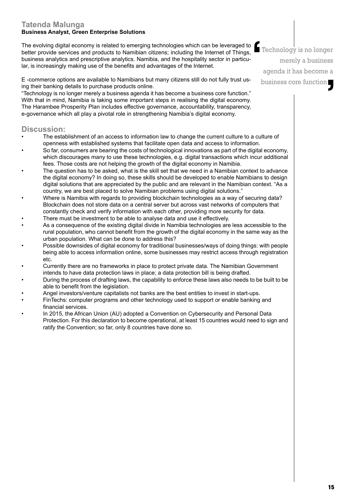#### **Tatenda Malunga Business Analyst, Green Enterprise Solutions**

The evolving digital economy is related to emerging technologies which can be leveraged to better provide services and products to Namibian citizens; including the Internet of Things, business analytics and prescriptive analytics. Namibia, and the hospitality sector in particular, is increasingly making use of the benefits and advantages of the Internet.



"Technology is no longer merely a business agenda it has become a business core function." With that in mind, Namibia is taking some important steps in realising the digital economy. The Harambee Prosperity Plan includes effective governance, accountability, transparency, e-governance which all play a pivotal role in strengthening Namibia's digital economy.

#### **Discussion:**

- The establishment of an access to information law to change the current culture to a culture of openness with established systems that facilitate open data and access to information.
- So far, consumers are bearing the costs of technological innovations as part of the digital economy, which discourages many to use these technologies, e.g. digital transactions which incur additional fees. Those costs are not helping the growth of the digital economy in Namibia.
- The question has to be asked, what is the skill set that we need in a Namibian context to advance the digital economy? In doing so, these skills should be developed to enable Namibians to design digital solutions that are appreciated by the public and are relevant in the Namibian context. "As a country, we are best placed to solve Namibian problems using digital solutions."
- Where is Namibia with regards to providing blockchain technologies as a way of securing data? Blockchain does not store data on a central server but across vast networks of computers that constantly check and verify information with each other, providing more security for data.
- There must be investment to be able to analyse data and use it effectively.
- As a consequence of the existing digital divide in Namibia technologies are less accessible to the rural population, who cannot benefit from the growth of the digital economy in the same way as the urban population. What can be done to address this?
- Possible downsides of digital economy for traditional businesses/ways of doing things: with people being able to access information online, some businesses may restrict access through registration etc.
- Currently there are no frameworks in place to protect private data. The Namibian Government intends to have data protection laws in place; a data protection bill is being drafted.
- During the process of drafting laws, the capability to enforce these laws also needs to be built to be able to benefit from the legislation.
- Angel investors/venture capitalists not banks are the best entities to invest in start-ups.
- FinTechs: computer programs and other technology used to support or enable banking and financial services.
- In 2015, the African Union (AU) adopted a Convention on Cybersecurity and Personal Data Protection. For this declaration to become operational, at least 15 countries would need to sign and ratify the Convention; so far, only 8 countries have done so.

Technology is no longer merely a business agenda it has become a business core function **f**:  $\blacksquare$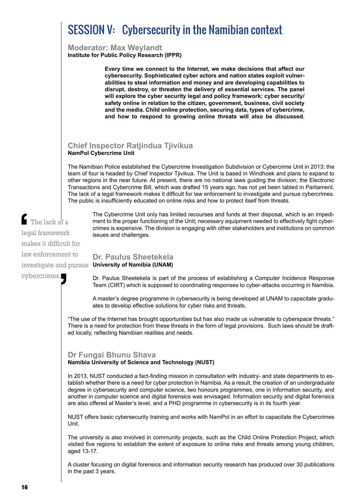## SESSION V: Cybersecurity in the Namibian context

**Moderator: Max Weylandt Institute for Public Policy Research (IPPR)**

> **Every time we connect to the Internet, we make decisions that affect our cybersecurity. Sophisticated cyber actors and nation states exploit vulnerabilities to steal information and money and are developing capabilities to disrupt, destroy, or threaten the delivery of essential services. The panel will explore the cyber security legal and policy framework; cyber security/ safety online in relation to the citizen, government, business, civil society and the media. Child online protection, securing data, types of cybercrime, and how to respond to growing online threats will also be discussed.**

#### **Chief Inspector Ratjindua Tjivikua NamPol Cybercrime Unit**

The Namibian Police established the Cybercrime Investigation Subdivision or Cybercrime Unit in 2013; the team of four is headed by Chief Inspector Tjivikua. The Unit is based in Windhoek and plans to expand to other regions in the near future. At present, there are no national laws guiding the division; the Electronic Transactions and Cybercrime Bill, which was drafted 15 years ago, has not yet been tabled in Parliament. The lack of a legal framework makes it difficult for law enforcement to investigate and pursue cybercrimes. The public is insufficiently educated on online risks and how to protect itself from threats.

The Cybercrime Unit only has limited recourses and funds at their disposal, which is an impediment to the proper functioning of the Unit; necessary equipment needed to effectively fight cybercrimes is expensive. The division is engaging with other stakeholders and institutions on common issues and challenges.

#### **Dr. Paulus Sheetekela**  investigate and pursue Un**iversity of Namibia (UNAM)**

Dr. Paulus Sheetekela is part of the process of establishing a Computer Incidence Response Team (CIRT) which is supposed to coordinating responses to cyber-attacks occurring in Namibia.

A master's degree programme in cybersecurity is being developed at UNAM to capacitate graduates to develop effective solutions for cyber risks and threats.

"The use of the Internet has brought opportunities but has also made us vulnerable to cyberspace threats." There is a need for protection from these threats in the form of legal provisions. Such laws should be drafted locally, reflecting Namibian realities and needs.

#### **Dr Fungai Bhunu Shava**

**Namibia University of Science and Technology (NUST)**

In 2013, NUST conducted a fact-finding mission in consultation with industry- and state departments to establish whether there is a need for cyber protection in Namibia. As a result, the creation of an undergraduate degree in cybersecurity and computer science, two honours programmes, one in information security, and another in computer science and digital forensics was envisaged. Information security and digital forensics are also offered at Master's level, and a PHD programme in cybersecurity is in its fourth year.

NUST offers basic cybersecurity training and works with NamPol in an effort to capacitate the Cybercrimes Unit.

The university is also involved in community projects, such as the Child Online Protection Project, which visited five regions to establish the extent of exposure to online risks and threats among young children, aged 13-17.

A cluster focusing on digital forensics and information security research has produced over 30 publications in the past 3 years.

The lack of a legal framework makes it difficult for law enforcement to cybercrimes.  $\begin{array}{c}\n\bullet \\
\bullet \\
\bullet \\
\bullet \\
\bullet\n\end{array}$ **'**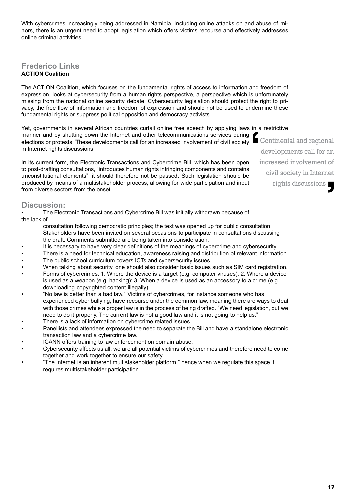With cybercrimes increasingly being addressed in Namibia, including online attacks on and abuse of minors, there is an urgent need to adopt legislation which offers victims recourse and effectively addresses online criminal activities.

#### **Frederico Links ACTION Coalition**

The ACTION Coalition, which focuses on the fundamental rights of access to information and freedom of expression, looks at cybersecurity from a human rights perspective, a perspective which is unfortunately missing from the national online security debate. Cybersecurity legislation should protect the right to privacy, the free flow of information and freedom of expression and should not be used to undermine these fundamental rights or suppress political opposition and democracy activists.

Yet, governments in several African countries curtail online free speech by applying laws in a restrictive manner and by shutting down the Internet and other telecommunications services during elections or protests. These developments call for an increased involvement of civil society in Internet rights discussions.  $\sum_{i=1}^{n}$ 

In its current form, the Electronic Transactions and Cybercrime Bill, which has been open to post-drafting consultations, "introduces human rights infringing components and contains unconstitutional elements", it should therefore not be passed. Such legislation should be produced by means of a multistakeholder process, allowing for wide participation and input from diverse sectors from the onset.

#### **Discussion:**

- The Electronic Transactions and Cybercrime Bill was initially withdrawn because of the lack of
	- consultation following democratic principles; the text was opened up for public consultation. Stakeholders have been invited on several occasions to participate in consultations discussing the draft. Comments submitted are being taken into consideration.
- It is necessary to have very clear definitions of the meanings of cybercrime and cybersecurity.
- There is a need for technical education, awareness raising and distribution of relevant information.
- The public school curriculum covers ICTs and cybersecurity issues.
- When talking about security, one should also consider basic issues such as SIM card registration.
- Forms of cybercrimes: 1. Where the device is a target (e.g. computer viruses); 2. Where a device is used as a weapon (e.g. hacking); 3. When a device is used as an accessory to a crime (e.g. downloading copyrighted content illegally).
- "No law is better than a bad law." Victims of cybercrimes, for instance someone who has experienced cyber bullying, have recourse under the common law, meaning there are ways to deal with those crimes while a proper law is in the process of being drafted. "We need legislation, but we need to do it properly. The current law is not a good law and it is not going to help us."
- There is a lack of information on cybercrime related issues.
- Panellists and attendees expressed the need to separate the Bill and have a standalone electronic transaction law and a cybercrime law.
- ICANN offers training to law enforcement on domain abuse.
- Cybersecurity affects us all, we are all potential victims of cybercrimes and therefore need to come together and work together to ensure our safety.
- "The Internet is an inherent multistakeholder platform," hence when we regulate this space it requires multistakeholder participation.

 Continental and regional developments call for an increased involvement of civil society in Internet rights discussions . **J**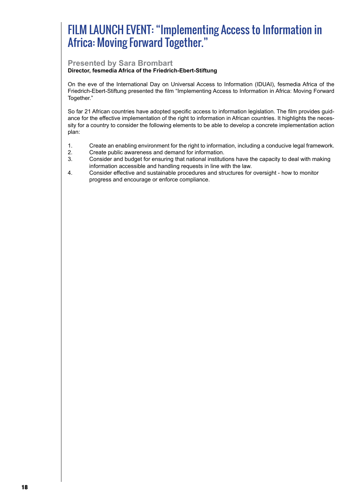## FILM LAUNCH EVENT: "Implementing Access to Information in Africa: Moving Forward Together."

#### **Presented by Sara Brombart**

#### **Director, fesmedia Africa of the Friedrich-Ebert-Stiftung**

On the eve of the International Day on Universal Access to Information (IDUAI), fesmedia Africa of the Friedrich-Ebert-Stiftung presented the film "Implementing Access to Information in Africa: Moving Forward Together."

So far 21 African countries have adopted specific access to information legislation. The film provides guidance for the effective implementation of the right to information in African countries. It highlights the necessity for a country to consider the following elements to be able to develop a concrete implementation action plan:

- 1. Create an enabling environment for the right to information, including a conducive legal framework.
- 2. Create public awareness and demand for information.
- 3. Consider and budget for ensuring that national institutions have the capacity to deal with making information accessible and handling requests in line with the law.
- 4. Consider effective and sustainable procedures and structures for oversight how to monitor progress and encourage or enforce compliance.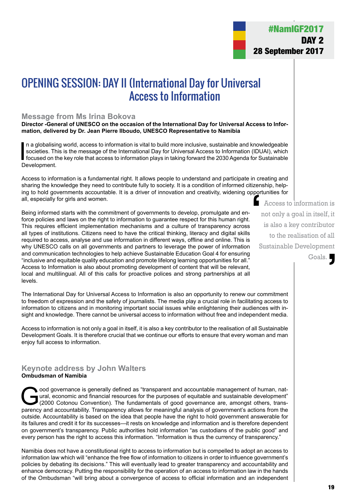## OPENING SESSION: DAY II (International Day for Universal Access to Information

#### **Message from Ms Irina Bokova**

**Director -General of UNESCO on the occasion of the International Day for Universal Access to Information, delivered by Dr. Jean Pierre Ilboudo, UNESCO Representative to Namibia**

In a globalisin<br>societies. The<br>focused on the<br>Development. n a globalising world, access to information is vital to build more inclusive, sustainable and knowledgeable societies. This is the message of the International Day for Universal Access to Information (IDUAI), which focused on the key role that access to information plays in taking forward the 2030 Agenda for Sustainable

Access to information is a fundamental right. It allows people to understand and participate in creating and sharing the knowledge they need to contribute fully to society. It is a condition of informed citizenship, helping to hold governments accountable. It is a driver of innovation and creativity, widening opportunities for all, especially for girls and women. Access to information is pport<br>
I

Being informed starts with the commitment of governments to develop, promulgate and enforce policies and laws on the right to information to guarantee respect for this human right. This requires efficient implementation mechanisms and a culture of transparency across all types of institutions. Citizens need to have the critical thinking, literacy and digital skills required to access, analyse and use information in different ways, offline and online. This is why UNESCO calls on all governments and partners to leverage the power of information and communication technologies to help achieve Sustainable Education Goal 4 for ensuring "inclusive and equitable quality education and promote lifelong learning opportunities for all." Access to Information is also about promoting development of content that will be relevant, local and multilingual. All of this calls for proactive polices and strong partnerships at all levels.

The International Day for Universal Access to Information is also an opportunity to renew our commitment to freedom of expression and the safety of journalists. The media play a crucial role in facilitating access to information to citizens and in monitoring important social issues while enlightening their audiences with insight and knowledge. There cannot be universal access to information without free and independent media.

Access to information is not only a goal in itself, it is also a key contributor to the realisation of all Sustainable Development Goals. It is therefore crucial that we continue our efforts to ensure that every woman and man enjoy full access to information.

#### **Keynote address by John Walters Ombudsman of Namibia**

ood governance is generally defined as "transparent and accountable management of human, nat-<br>ural, economic and financial resources for the purposes of equitable and sustainable development"<br>(2000 Cotonou Convention). The ural, economic and financial resources for the purposes of equitable and sustainable development" (2000 Cotonou Convention). The fundamentals of good governance are, amongst others, transparency and accountability. Transparency allows for meaningful analysis of government's actions from the outside. Accountability is based on the idea that people have the right to hold government answerable for its failures and credit it for its successes—it rests on knowledge and information and is therefore dependent on government's transparency. Public authorities hold information "as custodians of the public good" and every person has the right to access this information. "Information is thus the currency of transparency."

Namibia does not have a constitutional right to access to information but is compelled to adopt an access to information law which will "enhance the free flow of information to citizens in order to influence government's policies by debating its decisions." This will eventually lead to greater transparency and accountability and enhance democracy. Putting the responsibility for the operation of an access to information law in the hands of the Ombudsman "will bring about a convergence of access to official information and an independent

not only a goal in itself, it is also a key contributor to the realisation of all Sustainable Development Goals.  $\overline{\phantom{a}}$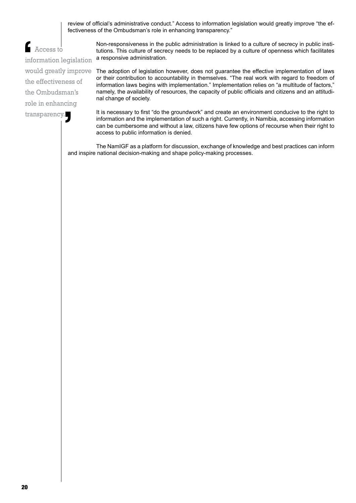review of official's administrative conduct." Access to information legislation would greatly improve "the effectiveness of the Ombudsman's role in enhancing transparency."

 Access to information legislation the effectiveness of the Ombudsman's role in enhancing transparency. Info<br>
info<br>
wo

Non-responsiveness in the public administration is linked to a culture of secrecy in public institutions. This culture of secrecy needs to be replaced by a culture of openness which facilitates a responsive administration.

would greatly improve The adoption of legislation however, does not guarantee the effective implementation of laws or their contribution to accountability in themselves. "The real work with regard to freedom of information laws begins with implementation." Implementation relies on "a multitude of factors," namely, the availability of resources, the capacity of public officials and citizens and an attitudinal change of society.

> It is necessary to first "do the groundwork" and create an environment conducive to the right to information and the implementation of such a right. Currently, in Namibia, accessing information can be cumbersome and without a law, citizens have few options of recourse when their right to access to public information is denied.

The NamIGF as a platform for discussion, exchange of knowledge and best practices can inform and inspire national decision-making and shape policy-making processes.  $\sqrt{1 + \frac{1}{2}}$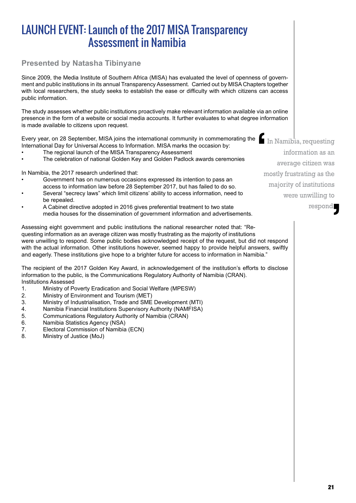## LAUNCH EVENT: Launch of the 2017 MISA Transparency Assessment in Namibia

#### **Presented by Natasha Tibinyane**

Since 2009, the Media Institute of Southern Africa (MISA) has evaluated the level of openness of government and public institutions in its annual Transparency Assessment. Carried out by MISA Chapters together with local researchers, the study seeks to establish the ease or difficulty with which citizens can access public information.

The study assesses whether public institutions proactively make relevant information available via an online presence in the form of a website or social media accounts. It further evaluates to what degree information is made available to citizens upon request.

Every year, on 28 September, MISA joins the international community in commemorating the International Day for Universal Access to Information. MISA marks the occasion by:

- The regional launch of the MISA Transparency Assessment
- The celebration of national Golden Key and Golden Padlock awards ceremonies

In Namibia, the 2017 research underlined that:

- Government has on numerous occasions expressed its intention to pass an access to information law before 28 September 2017, but has failed to do so.
- Several "secrecy laws" which limit citizens' ability to access information, need to be repealed.
- A Cabinet directive adopted in 2016 gives preferential treatment to two state media houses for the dissemination of government information and advertisements.

Assessing eight government and public institutions the national researcher noted that: "Requesting information as an average citizen was mostly frustrating as the majority of institutions were unwilling to respond. Some public bodies acknowledged receipt of the request, but did not respond with the actual information. Other institutions however, seemed happy to provide helpful answers, swiftly and eagerly. These institutions give hope to a brighter future for access to information in Namibia."

The recipient of the 2017 Golden Key Award, in acknowledgement of the institution's efforts to disclose information to the public, is the Communications Regulatory Authority of Namibia (CRAN). Institutions Assessed

- 1. Ministry of Poverty Eradication and Social Welfare (MPESW)
- 2. Ministry of Environment and Tourism (MET)
- 3. Ministry of Industrialisation, Trade and SME Development (MTI)
- 4. Namibia Financial Institutions Supervisory Authority (NAMFISA)
- 5. Communications Regulatory Authority of Namibia (CRAN)
- 6. Namibia Statistics Agency (NSA)
- 7. Electoral Commission of Namibia (ECN)<br>8. Ministry of Justice (MoJ)
- Ministry of Justice (MoJ)

 In Namibia, requesting information as an average citizen was mostly frustrating as the majority of institutions were unwilling to respond.  $\blacksquare$ d.<br> **1**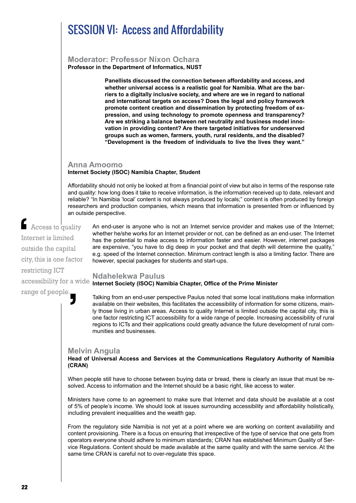## SESSION VI: Access and Affordability

#### **Moderator: Professor Nixon Ochara Professor in the Department of Informatics, NUST**

**Panellists discussed the connection between affordability and access, and whether universal access is a realistic goal for Namibia. What are the barriers to a digitally inclusive society, and where are we in regard to national and international targets on access? Does the legal and policy framework promote content creation and dissemination by protecting freedom of expression, and using technology to promote openness and transparency? Are we striking a balance between net neutrality and business model innovation in providing content? Are there targeted initiatives for underserved groups such as women, farmers, youth, rural residents, and the disabled? "Development is the freedom of individuals to live the lives they want."**

#### **Anna Amoomo Internet Society (ISOC) Namibia Chapter, Student**

Affordability should not only be looked at from a financial point of view but also in terms of the response rate and quality: how long does it take to receive information, is the information received up to date, relevant and reliable? "In Namibia 'local' content is not always produced by locals;" content is often produced by foreign researchers and production companies, which means that information is presented from or influenced by an outside perspective.

**Access to quality** Internet is limited outside the capital city, this is one factor restricting ICT International<br>
out

 $\mathbf{y}$ 

range of people.

An end-user is anyone who is not an Internet service provider and makes use of the Internet; whether he/she works for an Internet provider or not, can be defined as an end-user. The Internet has the potential to make access to information faster and easier. However, internet packages are expensive, "you have to dig deep in your pocket and that depth will determine the quality," e.g. speed of the Internet connection. Minimum contract length is also a limiting factor. There are however, special packages for students and start-ups.

#### **Ndahelekwa Paulus**  accessibility for a wide **Internet Society (ISOC) Namibia Chapter, Office of the Prime Minister**

Talking from an end-user perspective Paulus noted that some local institutions make information available on their websites, this facilitates the accessibility of information for some citizens, mainly those living in urban areas. Access to quality Internet is limited outside the capital city, this is one factor restricting ICT accessibility for a wide range of people. Increasing accessibility of rural regions to ICTs and their applications could greatly advance the future development of rural communities and businesses.

#### **Melvin Angula**

#### **Head of Universal Access and Services at the Communications Regulatory Authority of Namibia (CRAN)**

When people still have to choose between buying data or bread, there is clearly an issue that must be resolved. Access to information and the Internet should be a basic right, like access to water.

Ministers have come to an agreement to make sure that Internet and data should be available at a cost of 5% of people's income. We should look at issues surrounding accessibility and affordability holistically, including prevalent inequalities and the wealth gap.

From the regulatory side Namibia is not yet at a point where we are working on content availability and content provisioning. There is a focus on ensuring that irrespective of the type of service that one gets from operators everyone should adhere to minimum standards; CRAN has established Minimum Quality of Service Regulations. Content should be made available at the same quality and with the same service. At the same time CRAN is careful not to over-regulate this space.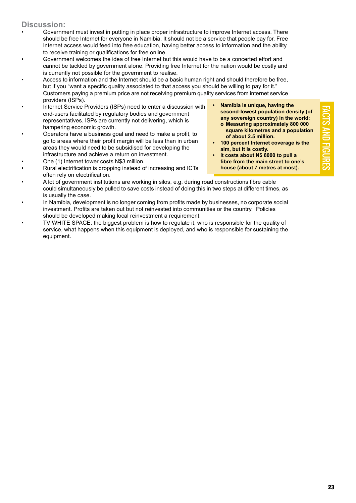#### **Discussion:**

- Government must invest in putting in place proper infrastructure to improve Internet access. There should be free Internet for everyone in Namibia. It should not be a service that people pay for. Free Internet access would feed into free education, having better access to information and the ability to receive training or qualifications for free online.
- Government welcomes the idea of free Internet but this would have to be a concerted effort and cannot be tackled by government alone. Providing free Internet for the nation would be costly and is currently not possible for the government to realise.
- Access to information and the Internet should be a basic human right and should therefore be free, but if you "want a specific quality associated to that access you should be willing to pay for it." Customers paying a premium price are not receiving premium quality services from internet service providers (ISPs).
- Internet Service Providers (ISPs) need to enter a discussion with end-users facilitated by regulatory bodies and government representatives. ISPs are currently not delivering, which is hampering economic growth.
- Operators have a business goal and need to make a profit, to go to areas where their profit margin will be less than in urban areas they would need to be subsidised for developing the infrastructure and achieve a return on investment.
- One (1) Internet tower costs N\$3 million.
- Rural electrification is dropping instead of increasing and ICTs often rely on electrification.
- A lot of government institutions are working in silos, e.g. during road constructions fibre cable could simultaneously be pulled to save costs instead of doing this in two steps at different times, as is usually the case.
- In Namibia, development is no longer coming from profits made by businesses, no corporate social investment. Profits are taken out but not reinvested into communities or the country. Policies should be developed making local reinvestment a requirement.
- TV WHITE SPACE: the biggest problem is how to regulate it, who is responsible for the quality of service, what happens when this equipment is deployed, and who is responsible for sustaining the equipment.
- **• Namibia is unique, having the second-lowest population density (of any sovereign country) in the world: o Measuring approximately 800 000 square kilometres and a population of about 2.5 million.**
- **• 100 percent Internet coverage is the aim, but it is costly.**
- **• It costs about N\$ 8000 to pull a fibre from the main street to one's house (about 7 metres at most).**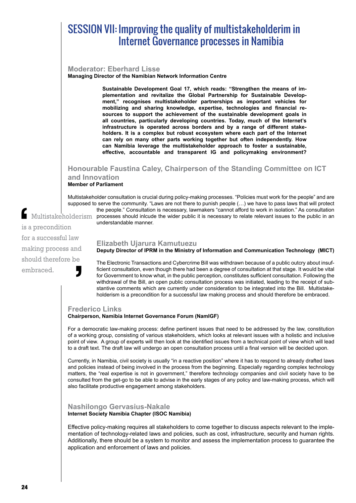### SESSION VII: Improving the quality of multistakeholderim in Internet Governance processes in Namibia

#### **Moderator: Eberhard Lisse**

**Managing Director of the Namibian Network Information Centre**

**Sustainable Development Goal 17, which reads: "Strengthen the means of implementation and revitalize the Global Partnership for Sustainable Development," recognises multistakeholder partnerships as important vehicles for mobilizing and sharing knowledge, expertise, technologies and financial resources to support the achievement of the sustainable development goals in all countries, particularly developing countries. Today, much of the Internet's infrastructure is operated across borders and by a range of different stakeholders. It is a complex but robust ecosystem where each part of the Internet can rely on many other parts working together but often independently. How can Namibia leverage the multistakeholder approach to foster a sustainable, effective, accountable and transparent IG and policymaking environment?**

#### **Honourable Faustina Caley, Chairperson of the Standing Committee on ICT and Innovation**

**Member of Parliament**

Multistakeholder consultation is crucial during policy-making processes. "Policies must work for the people" and are supposed to serve the community. "Laws are not there to punish people (…) we have to pass laws that will protect the people." Consultation is necessary, lawmakers "cannot afford to work in isolation." As consultation Multistakeholderism processes should inlcude the wider public it is necessary to relate relevant issues to the public in an understandable manner.

is a precondition for a successful law making process and should therefore be embraced.  $\frac{1}{\sin \theta}$ **J** 

#### **Elizabeth Ujarura Kamutuezu**

#### **Deputy Director of IPRM in the Ministry of Information and Communication Technology (MICT)**

The Electronic Transactions and Cybercrime Bill was withdrawn because of a public outcry about insufficient consultation, even though there had been a degree of consultation at that stage. It would be vital for Government to know what, in the public perception, constitutes sufficient consultation. Following the withdrawal of the Bill, an open public consultation process was initiated, leading to the receipt of substantive comments which are currently under consideration to be integrated into the Bill. Multistakeholderism is a precondition for a successful law making process and should therefore be embraced.

#### **Frederico Links**

#### **Chairperson, Namibia Internet Governance Forum (NamIGF)**

For a democratic law-making process: define pertinent issues that need to be addressed by the law, constitution of a working group, consisting of various stakeholders, which looks at relevant issues with a holistic and inclusive point of view. A group of experts will then look at the identified issues from a technical point of view which will lead to a draft text. The draft law will undergo an open consultation process until a final version will be decided upon.

Currently, in Namibia, civil society is usually "in a reactive position" where it has to respond to already drafted laws and policies instead of being involved in the process from the beginning. Especially regarding complex technology matters, the "real expertise is not in government," therefore technology companies and civil society have to be consulted from the get-go to be able to advise in the early stages of any policy and law-making process, which will also facilitate productive engagement among stakeholders.

#### **Nashilongo Gervasius-Nakale Internet Society Namibia Chapter (ISOC Namibia)**

Effective policy-making requires all stakeholders to come together to discuss aspects relevant to the implementation of technology-related laws and policies, such as cost, infrastructure, security and human rights. Additionally, there should be a system to monitor and assess the implementation process to guarantee the application and enforcement of laws and policies.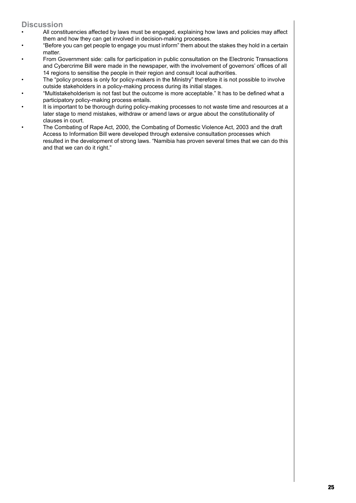#### **Discussion**

- All constituencies affected by laws must be engaged, explaining how laws and policies may affect them and how they can get involved in decision-making processes.
- "Before you can get people to engage you must inform" them about the stakes they hold in a certain matter.
- From Government side: calls for participation in public consultation on the Electronic Transactions and Cybercrime Bill were made in the newspaper, with the involvement of governors' offices of all 14 regions to sensitise the people in their region and consult local authorities.
- The "policy process is only for policy-makers in the Ministry" therefore it is not possible to involve outside stakeholders in a policy-making process during its initial stages.
- "Multistakeholderism is not fast but the outcome is more acceptable." It has to be defined what a participatory policy-making process entails.
- It is important to be thorough during policy-making processes to not waste time and resources at a later stage to mend mistakes, withdraw or amend laws or argue about the constitutionality of clauses in court.
- The Combating of Rape Act, 2000, the Combating of Domestic Violence Act, 2003 and the draft Access to Information Bill were developed through extensive consultation processes which resulted in the development of strong laws. "Namibia has proven several times that we can do this and that we can do it right."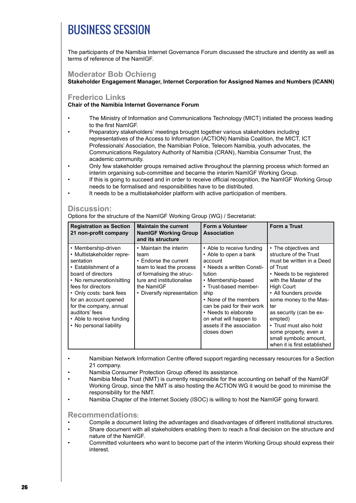## BUSINESS SESSION

The participants of the Namibia Internet Governance Forum discussed the structure and identity as well as terms of reference of the NamIGF.

#### **Moderator Bob Ochieng**

#### **Stakeholder Engagement Manager, Internet Corporation for Assigned Names and Numbers (ICANN)**

#### **Frederico Links**

#### **Chair of the Namibia Internet Governance Forum**

- The Ministry of Information and Communications Technology (MICT) initiated the process leading to the first NamIGF.
- Preparatory stakeholders' meetings brought together various stakeholders including representatives of the Access to Information (ACTION) Namibia Coalition, the MICT, ICT Professionals' Association, the Namibian Police, Telecom Namibia, youth advocates, the Communications Regulatory Authority of Namibia (CRAN), Namibia Consumer Trust, the academic community.
- Only few stakeholder groups remained active throughout the planning process which formed an interim organising sub-committee and became the interim NamIGF Working Group.
- If this is going to succeed and in order to receive official recognition, the NamIGF Working Group needs to be formalised and responsibilities have to be distributed.
	- It needs to be a multistakeholder platform with active participation of members.

#### **Discussion:**

Options for the structure of the NamIGF Working Group (WG) / Secretariat:

| <b>Registration as Section</b><br>21 non-profit company                                                                                                                                                                                                                                                                 | <b>Maintain the current</b><br><b>NamIGF Working Group</b><br>and its structure                                                                                                           | Form a Volunteer<br><b>Association</b>                                                                                                                                                                                                                                                                           | <b>Form a Trust</b>                                                                                                                                                                                                                                                                                                                                                              |
|-------------------------------------------------------------------------------------------------------------------------------------------------------------------------------------------------------------------------------------------------------------------------------------------------------------------------|-------------------------------------------------------------------------------------------------------------------------------------------------------------------------------------------|------------------------------------------------------------------------------------------------------------------------------------------------------------------------------------------------------------------------------------------------------------------------------------------------------------------|----------------------------------------------------------------------------------------------------------------------------------------------------------------------------------------------------------------------------------------------------------------------------------------------------------------------------------------------------------------------------------|
| • Membership-driven<br>• Multistakeholder repre-<br>sentation<br>• Establishment of a<br>board of directors<br>• No remuneration/sitting<br>fees for directors<br>• Only costs: bank fees<br>for an account opened<br>for the company, annual<br>auditors' fees<br>• Able to receive funding<br>• No personal liability | • Maintain the interim<br>team<br>• Endorse the current<br>team to lead the process<br>of formalising the struc-<br>ture and institutionalise<br>the NamIGF<br>• Diversify representation | • Able to receive funding<br>• Able to open a bank<br>account<br>• Needs a written Consti-<br>tution<br>• Membership-based<br>• Trust-based member-<br>ship<br>• None of the members<br>can be paid for their work<br>• Needs to elaborate<br>on what will happen to<br>assets if the association<br>closes down | • The objectives and<br>structure of the Trust<br>must be written in a Deed<br>of Trust<br>• Needs to be registered<br>with the Master of the<br><b>High Court</b><br>• All founders provide<br>some money to the Mas-<br>ter<br>as security (can be ex-<br>empted)<br>• Trust must also hold<br>some property, even a<br>small symbolic amount,<br>when it is first established |

- Namibian Network Information Centre offered support regarding necessary resources for a Section 21 company.
- Namibia Consumer Protection Group offered its assistance.
- Namibia Media Trust (NMT) is currently responsible for the accounting on behalf of the NamIGF Working Group, since the NMT is also hosting the ACTION WG it would be good to minimise the responsibility for the NMT.
- Namibia Chapter of the Internet Society (ISOC) is willing to host the NamIGF going forward.

#### **Recommendations**:

- Compile a document listing the advantages and disadvantages of different institutional structures.
- Share document with all stakeholders enabling them to reach a final decision on the structure and nature of the NamIGF.
- Committed volunteers who want to become part of the interim Working Group should express their interest.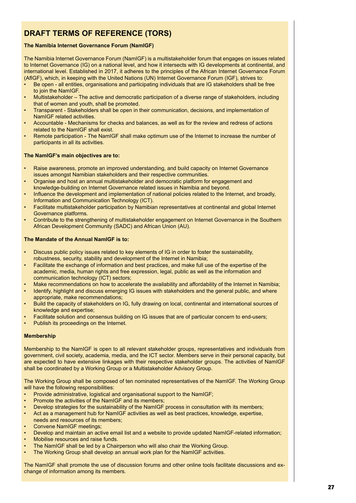#### **Draft Terms of Reference (TORs)**

#### **The Namibia Internet Governance Forum (NamIGF)**

The Namibia Internet Governance Forum (NamIGF) is a multistakeholder forum that engages on issues related to Internet Governance (IG) on a national level, and how it intersects with IG developments at continental, and international level. Established in 2017, it adheres to the principles of the African Internet Governance Forum (AfIGF), which, in keeping with the United Nations (UN) Internet Governance Forum (IGF), strives to:

- Be open all entities, organisations and participating individuals that are IG stakeholders shall be free to join the NamIGF.
- Multistakeholder The active and democratic participation of a diverse range of stakeholders, including that of women and youth, shall be promoted.
- Transparent Stakeholders shall be open in their communication, decisions, and implementation of NamIGF related activities.
- Accountable Mechanisms for checks and balances, as well as for the review and redress of actions related to the NamIGF shall exist.
- Remote participation The NamIGF shall make optimum use of the Internet to increase the number of participants in all its activities.

#### **The NamIGF's main objectives are to:**

- Raise awareness, promote an improved understanding, and build capacity on Internet Governance issues amongst Namibian stakeholders and their respective communities.
- Organise and host an annual multistakeholder and democratic platform for engagement and knowledge-building on Internet Governance related issues in Namibia and beyond.
- Influence the development and implementation of national policies related to the Internet, and broadly, Information and Communication Technology (ICT).
- Facilitate multistakeholder participation by Namibian representatives at continental and global Internet Governance platforms.
- Contribute to the strengthening of multistakeholder engagement on Internet Governance in the Southern African Development Community (SADC) and African Union (AU).

#### **The Mandate of the Annual NamIGF is to:**

- Discuss public policy issues related to key elements of IG in order to foster the sustainability, robustness, security, stability and development of the Internet in Namibia;
- Facilitate the exchange of information and best practices, and make full use of the expertise of the academic, media, human rights and free expression, legal, public as well as the information and communication technology (ICT) sectors;
- Make recommendations on how to accelerate the availability and affordability of the Internet in Namibia;
- Identify, highlight and discuss emerging IG issues with stakeholders and the general public, and where appropriate, make recommendations;
- Build the capacity of stakeholders on IG, fully drawing on local, continental and international sources of knowledge and expertise;
- Facilitate solution and consensus building on IG issues that are of particular concern to end-users;
- Publish its proceedings on the Internet.

#### **Membership**

Membership to the NamIGF is open to all relevant stakeholder groups, representatives and individuals from government, civil society, academia, media, and the ICT sector. Members serve in their personal capacity, but are expected to have extensive linkages with their respective stakeholder groups. The activities of NamIGF shall be coordinated by a Working Group or a Multistakeholder Advisory Group.

The Working Group shall be composed of ten nominated representatives of the NamIGF. The Working Group will have the following responsibilities:

- Provide administrative, logistical and organisational support to the NamIGF;
- Promote the activities of the NamIGF and its members;
- Develop strategies for the sustainability of the NamIGF process in consultation with its members;
- Act as a management hub for NamIGF activities as well as best practices, knowledge, expertise,
- needs and resources of its members;
- Convene NamIGF meetings;
- Develop and maintain an active email list and a website to provide updated NamIGF-related information;
- Mobilise resources and raise funds.
- The NamIGF shall be led by a Chairperson who will also chair the Working Group.
- The Working Group shall develop an annual work plan for the NamIGF activities.

The NamIGF shall promote the use of discussion forums and other online tools facilitate discussions and exchange of information among its members.